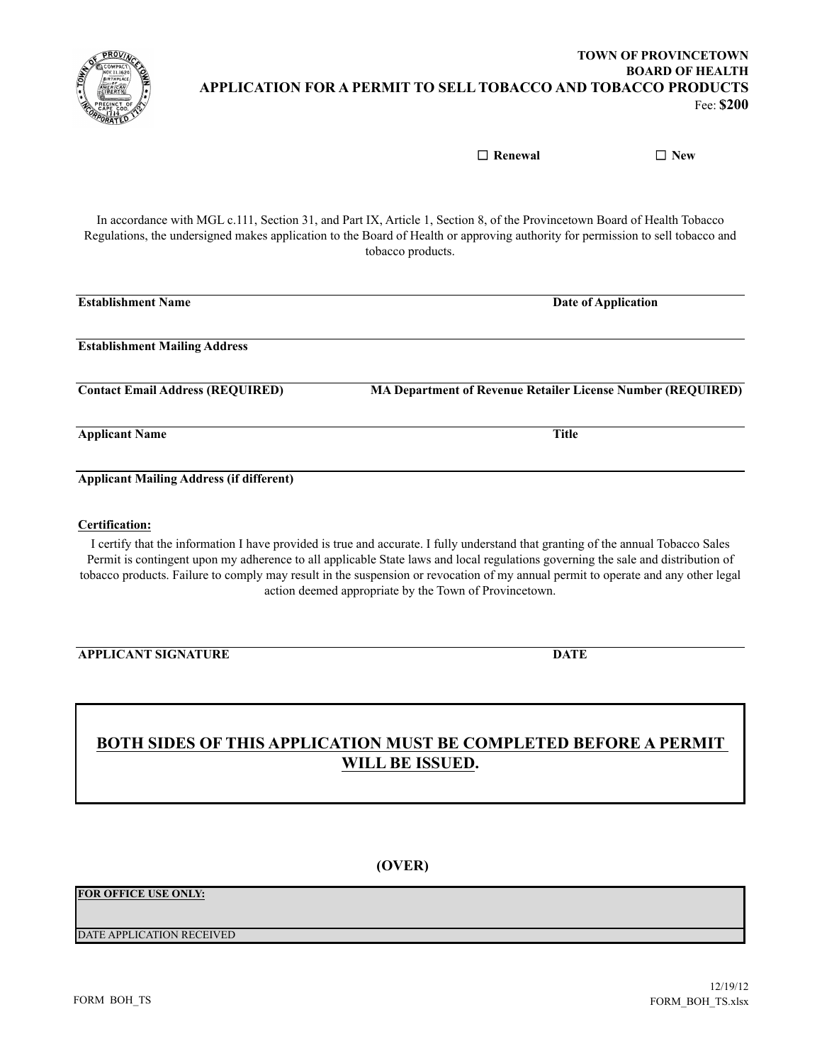

In accordance with MGL c.111, Section 31, and Part IX, Article 1, Section 8, of the Provincetown Board of Health Tobacco Regulations, the undersigned makes application to the Board of Health or approving authority for permission to sell tobacco and tobacco products.

| <b>Establishment Name</b>                       | Date of Application                                                |
|-------------------------------------------------|--------------------------------------------------------------------|
| <b>Establishment Mailing Address</b>            |                                                                    |
| <b>Contact Email Address (REQUIRED)</b>         | <b>MA Department of Revenue Retailer License Number (REQUIRED)</b> |
| <b>Applicant Name</b>                           | <b>Title</b>                                                       |
| <b>Applicant Mailing Address (if different)</b> |                                                                    |
|                                                 |                                                                    |

#### **Certification:**

I certify that the information I have provided is true and accurate. I fully understand that granting of the annual Tobacco Sales Permit is contingent upon my adherence to all applicable State laws and local regulations governing the sale and distribution of tobacco products. Failure to comply may result in the suspension or revocation of my annual permit to operate and any other legal action deemed appropriate by the Town of Provincetown.

**APPLICANT SIGNATURE DATE**

# **BOTH SIDES OF THIS APPLICATION MUST BE COMPLETED BEFORE A PERMIT WILL BE ISSUED.**

**(OVER)**

## **FOR OFFICE USE ONLY:**

#### DATE APPLICATION RECEIVED